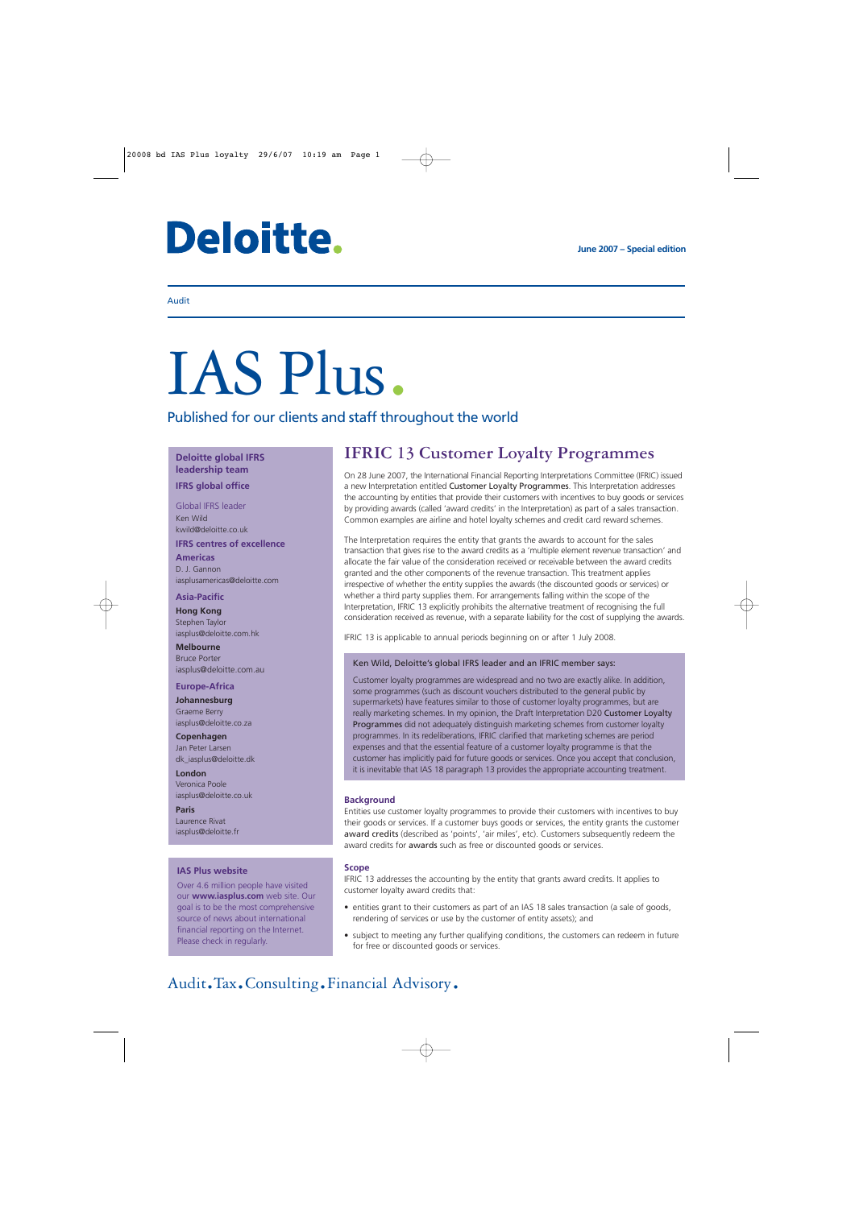# **Deloitte.**

#### Audit

# IAS Plus.

Published for our clients and staff throughout the world

**Deloitte global IFRS leadership team**

**IFRS global office**

Global IFRS leader Ken Wild kwild@deloitte.co.uk **IFRS centres of excellence**

**Americas** D. J. Gannon iasplusamericas@deloitte.com

#### **Asia-Pacific**

**Hong Kong** Stephen Taylor iasplus@deloitte.com.hk

**Melbourne** Bruce Porter iasplus@deloitte.com.au

#### **Europe-Africa**

**Johannesburg** Graeme Berry iasplus@deloitte.co.za

**Copenhagen** Jan Peter Larsen [dk\\_iasplus@deloitte.dk](mailto:dk_iasplus@deloitte.dk)

**London** Veronica Poole iasplus@deloitte.co.uk

**Paris** Laurence Rivat iasplus@deloitte.fr

#### **IAS Plus website**

Over 4.6 million people have visited our **www.iasplus.com** web site. Our goal is to be the most comprehensive source of news about international financial reporting on the Internet. Please check in regularly.

### **IFRIC 13 Customer Loyalty Programmes**

On 28 June 2007, the International Financial Reporting Interpretations Committee (IFRIC) issued a new Interpretation entitled Customer Loyalty Programmes. This Interpretation addresses the accounting by entities that provide their customers with incentives to buy goods or services by providing awards (called 'award credits' in the Interpretation) as part of a sales transaction. Common examples are airline and hotel loyalty schemes and credit card reward schemes.

The Interpretation requires the entity that grants the awards to account for the sales transaction that gives rise to the award credits as a 'multiple element revenue transaction' and allocate the fair value of the consideration received or receivable between the award credits granted and the other components of the revenue transaction. This treatment applies irrespective of whether the entity supplies the awards (the discounted goods or services) or whether a third party supplies them. For arrangements falling within the scope of the Interpretation, IFRIC 13 explicitly prohibits the alternative treatment of recognising the full consideration received as revenue, with a separate liability for the cost of supplying the awards.

IFRIC 13 is applicable to annual periods beginning on or after 1 July 2008.

#### Ken Wild, Deloitte's global IFRS leader and an IFRIC member says:

Customer loyalty programmes are widespread and no two are exactly alike. In addition, some programmes (such as discount vouchers distributed to the general public by supermarkets) have features similar to those of customer loyalty programmes, but are really marketing schemes. In my opinion, the Draft Interpretation D20 Customer Loyalty Programmes did not adequately distinguish marketing schemes from customer loyalty programmes. In its redeliberations, IFRIC clarified that marketing schemes are period expenses and that the essential feature of a customer loyalty programme is that the customer has implicitly paid for future goods or services. Once you accept that conclusion, it is inevitable that IAS 18 paragraph 13 provides the appropriate accounting treatment.

#### **Background**

Entities use customer loyalty programmes to provide their customers with incentives to buy their goods or services. If a customer buys goods or services, the entity grants the customer award credits (described as 'points', 'air miles', etc). Customers subsequently redeem the award credits for awards such as free or discounted goods or services.

#### **Scope**

IFRIC 13 addresses the accounting by the entity that grants award credits. It applies to customer loyalty award credits that:

- entities grant to their customers as part of an IAS 18 sales transaction (a sale of goods, rendering of services or use by the customer of entity assets); and
- subject to meeting any further qualifying conditions, the customers can redeem in future for free or discounted goods or services.

## Audit.Tax.Consulting.Financial Advisory.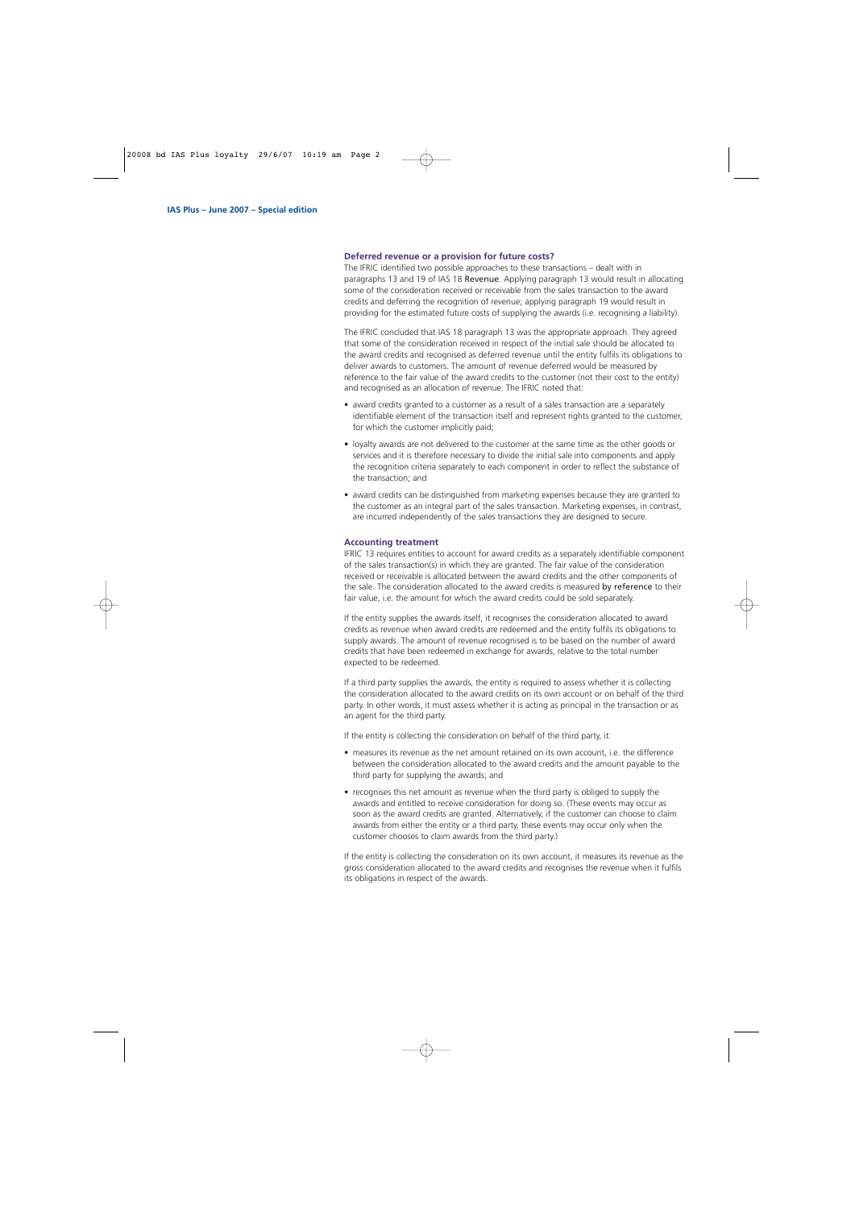#### **Deferred revenue or a provision for future costs?**

The IFRIC identified two possible approaches to these transactions – dealt with in paragraphs 13 and 19 of IAS 18 Revenue. Applying paragraph 13 would result in allocating some of the consideration received or receivable from the sales transaction to the award credits and deferring the recognition of revenue; applying paragraph 19 would result in providing for the estimated future costs of supplying the awards (i.e. recognising a liability).

The IFRIC concluded that IAS 18 paragraph 13 was the appropriate approach. They agreed that some of the consideration received in respect of the initial sale should be allocated to the award credits and recognised as deferred revenue until the entity fulfils its obligations to deliver awards to customers. The amount of revenue deferred would be measured by reference to the fair value of the award credits to the customer (not their cost to the entity) and recognised as an allocation of revenue. The IFRIC noted that:

- award credits granted to a customer as a result of a sales transaction are a separately identifiable element of the transaction itself and represent rights granted to the customer, for which the customer implicitly paid;
- loyalty awards are not delivered to the customer at the same time as the other goods or services and it is therefore necessary to divide the initial sale into components and apply the recognition criteria separately to each component in order to reflect the substance of the transaction; and
- award credits can be distinguished from marketing expenses because they are granted to the customer as an integral part of the sales transaction. Marketing expenses, in contrast, are incurred independently of the sales transactions they are designed to secure.

#### **Accounting treatment**

IFRIC 13 requires entities to account for award credits as a separately identifiable component of the sales transaction(s) in which they are granted. The fair value of the consideration received or receivable is allocated between the award credits and the other components of the sale. The consideration allocated to the award credits is measured by reference to their fair value, i.e. the amount for which the award credits could be sold separately.

If the entity supplies the awards itself, it recognises the consideration allocated to award credits as revenue when award credits are redeemed and the entity fulfils its obligations to supply awards. The amount of revenue recognised is to be based on the number of award credits that have been redeemed in exchange for awards, relative to the total number expected to be redeemed.

If a third party supplies the awards, the entity is required to assess whether it is collecting the consideration allocated to the award credits on its own account or on behalf of the third party. In other words, it must assess whether it is acting as principal in the transaction or as an agent for the third party.

If the entity is collecting the consideration on behalf of the third party, it:

- measures its revenue as the net amount retained on its own account, i.e. the difference between the consideration allocated to the award credits and the amount payable to the third party for supplying the awards; and
- recognises this net amount as revenue when the third party is obliged to supply the awards and entitled to receive consideration for doing so. (These events may occur as soon as the award credits are granted. Alternatively, if the customer can choose to claim awards from either the entity or a third party, these events may occur only when the customer chooses to claim awards from the third party.)

If the entity is collecting the consideration on its own account, it measures its revenue as the gross consideration allocated to the award credits and recognises the revenue when it fulfils its obligations in respect of the awards.